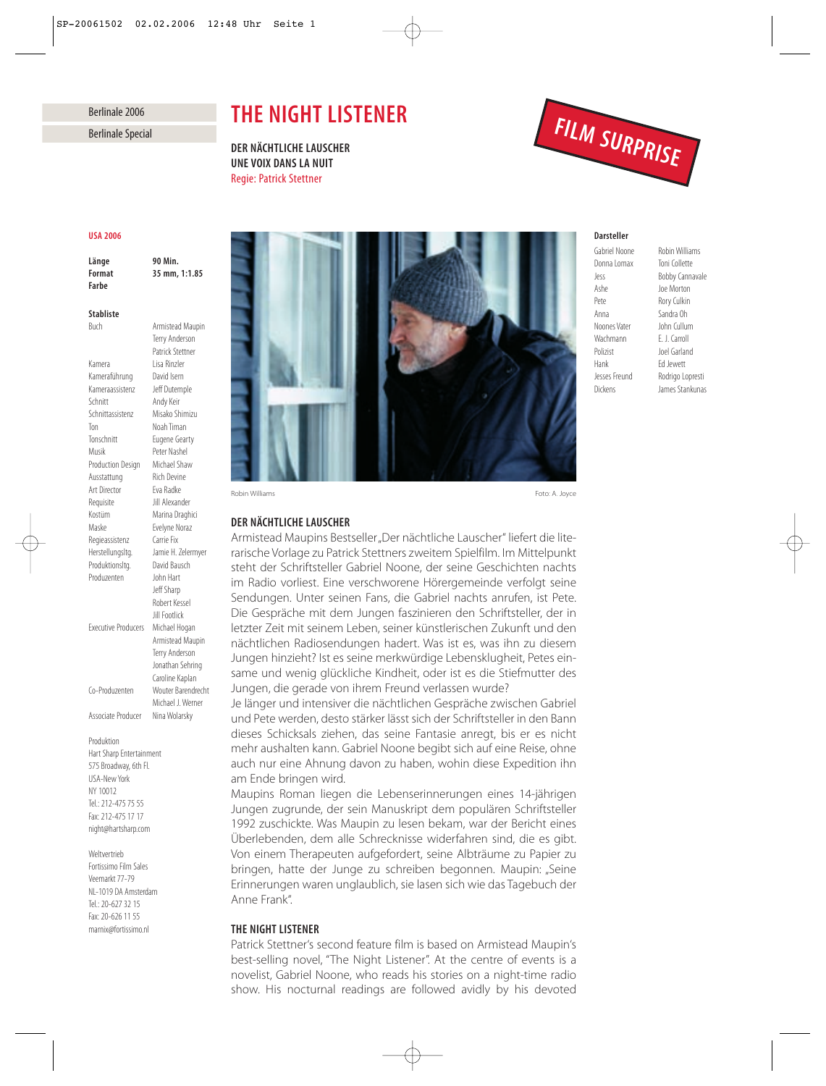# Berlinale 2006

# *THE NIGHT LISTENER*

*DER NÄCHTLICHE LAUSCHER UNE VOIX DANS LA NUIT* Regie: Patrick Stettner



#### *USA 2006*

*Länge 90 Min. Farbe*

*Format 35 mm, 1:1.85*

Buch Armistead Maupin

Terry Anderson

### *Stabliste*

Patrick Stettner Kamera Lisa Rinzler Kameraführung David Isern Kameraassistenz Jeff Dutemple Schnitt Andy Keir Schnittassistenz Misako Shimizu Ton Noah Timan Tonschnitt Eugene Gearty Musik Peter Nashel Production Design Michael Shaw Ausstattung Rich Devine Art Director Eva Radke Requisite **Jill Alexander** Kostüm Marina Draghici Maske Evelyne Noraz Regieassistenz Carrie Fix Herstellungsltg. Jamie H. Zelermyer Produktionsltg. David Bausch Produzenten John Hart Jeff Sharp Robert Kessel Jill Footlick Executive Producers Michael Hogan Armistead Maupin Terry Anderson Jonathan Sehring Caroline Kaplan Co-Produzenten Wouter Barendrecht Michael J. Werner Associate Producer Nina Wolarsky

Produktion Hart Sharp Entertainment 575 Broadway, 6th Fl. USA-New York NY 10012 Tel.: 212-475 75 55 Fax: 212-475 17 17 night@hartsharp.com

Weltvertrieb

Fortissimo Film Sales Veemarkt 77-79 NL-1019 DA Amsterdam Tel.: 20-627 32 15 Fax: 20-626 11 55 marnix@fortissimo.nl



Robin Williams Foto: A. Joyce

# *DER NÄCHTLICHE LAUSCHER*

Armistead Maupins Bestseller "Der nächtliche Lauscher" liefert die literarische Vorlage zu Patrick Stettners zweitem Spielfilm. Im Mittelpunkt steht der Schriftsteller Gabriel Noone, der seine Geschichten nachts im Radio vorliest. Eine verschworene Hörergemeinde verfolgt seine Sendungen. Unter seinen Fans, die Gabriel nachts anrufen, ist Pete. Die Gespräche mit dem Jungen faszinieren den Schriftsteller, der in letzter Zeit mit seinem Leben, seiner künstlerischen Zukunft und den nächtlichen Radiosendungen hadert. Was ist es, was ihn zu diesem Jungen hinzieht? Ist es seine merkwürdige Lebensklugheit, Petes einsame und wenig glückliche Kindheit, oder ist es die Stiefmutter des Jungen, die gerade von ihrem Freund verlassen wurde?

Je länger und intensiver die nächtlichen Gespräche zwischen Gabriel und Pete werden, desto stärker lässt sich der Schriftsteller in den Bann dieses Schicksals ziehen, das seine Fantasie anregt, bis er es nicht mehr aushalten kann. Gabriel Noone begibt sich auf eine Reise, ohne auch nur eine Ahnung davon zu haben, wohin diese Expedition ihn am Ende bringen wird.

Maupins Roman liegen die Lebenserinnerungen eines 14-jährigen Jungen zugrunde, der sein Manuskript dem populären Schriftsteller 1992 zuschickte. Was Maupin zu lesen bekam, war der Bericht eines Überlebenden, dem alle Schrecknisse widerfahren sind, die es gibt. Von einem Therapeuten aufgefordert, seine Albträume zu Papier zu bringen, hatte der Junge zu schreiben begonnen. Maupin: "Seine Erinnerungen waren unglaublich, sie lasen sich wie das Tagebuch der Anne Frank".

# *THE NIGHT LISTENER*

Patrick Stettner's second feature film is based on Armistead Maupin's best-selling novel, "The Night Listener". At the centre of events is a novelist, Gabriel Noone, who reads his stories on a night-time radio show. His nocturnal readings are followed avidly by his devoted

# *Darsteller*

Donna Lomax Toni Collette Jess Bobby Cannavale Ashe Joe Morton Pete Rory Culkin Anna Sandra Oh Noones Vater John Cullum Wachmann E. J. Carroll Polizist Joel Garland Hank Ed Jewett Jesses Freund Rodrigo Lopresti Dickens James Stankunas

Gabriel Noone Robin Williams